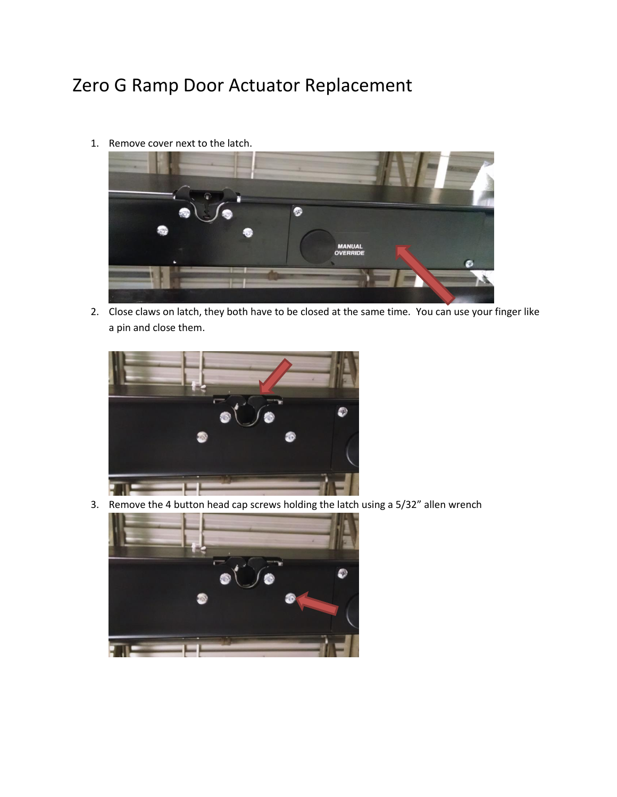## Zero G Ramp Door Actuator Replacement

1. Remove cover next to the latch.



2. Close claws on latch, they both have to be closed at the same time. You can use your finger like a pin and close them.



3. Remove the 4 button head cap screws holding the latch using a 5/32" allen wrench

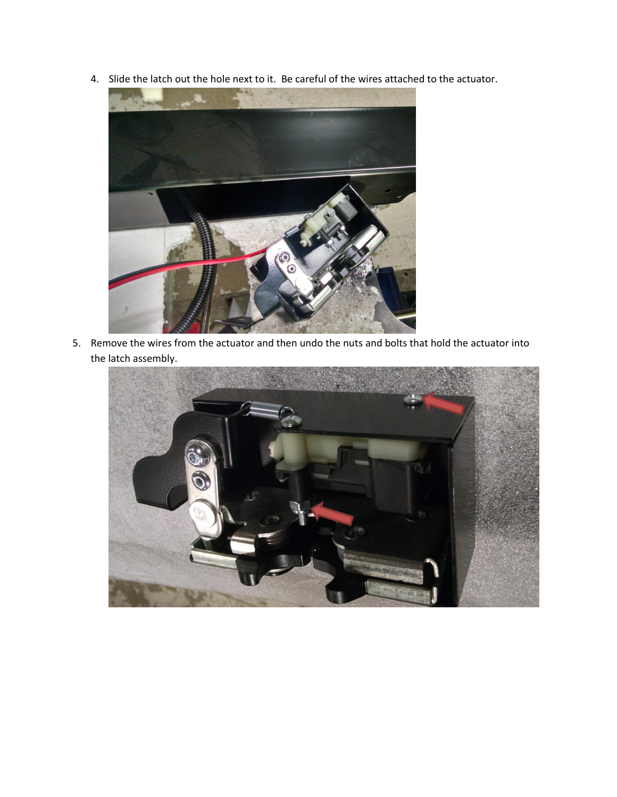4. Slide the latch out the hole next to it. Be careful of the wires attached to the actuator.



5. Remove the wires from the actuator and then undo the nuts and bolts that hold the actuator into the latch assembly.